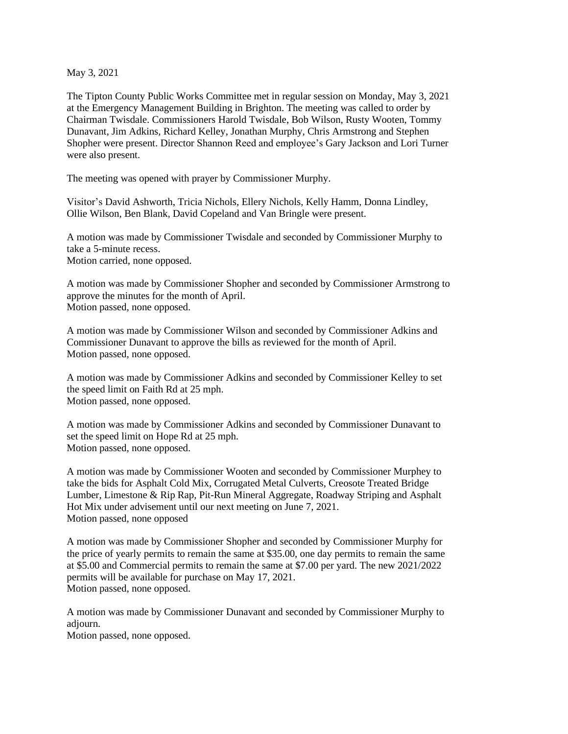May 3, 2021

The Tipton County Public Works Committee met in regular session on Monday, May 3, 2021 at the Emergency Management Building in Brighton. The meeting was called to order by Chairman Twisdale. Commissioners Harold Twisdale, Bob Wilson, Rusty Wooten, Tommy Dunavant, Jim Adkins, Richard Kelley, Jonathan Murphy, Chris Armstrong and Stephen Shopher were present. Director Shannon Reed and employee's Gary Jackson and Lori Turner were also present.

The meeting was opened with prayer by Commissioner Murphy.

Visitor's David Ashworth, Tricia Nichols, Ellery Nichols, Kelly Hamm, Donna Lindley, Ollie Wilson, Ben Blank, David Copeland and Van Bringle were present.

A motion was made by Commissioner Twisdale and seconded by Commissioner Murphy to take a 5-minute recess. Motion carried, none opposed.

A motion was made by Commissioner Shopher and seconded by Commissioner Armstrong to approve the minutes for the month of April. Motion passed, none opposed.

A motion was made by Commissioner Wilson and seconded by Commissioner Adkins and Commissioner Dunavant to approve the bills as reviewed for the month of April. Motion passed, none opposed.

A motion was made by Commissioner Adkins and seconded by Commissioner Kelley to set the speed limit on Faith Rd at 25 mph. Motion passed, none opposed.

A motion was made by Commissioner Adkins and seconded by Commissioner Dunavant to set the speed limit on Hope Rd at 25 mph. Motion passed, none opposed.

A motion was made by Commissioner Wooten and seconded by Commissioner Murphey to take the bids for Asphalt Cold Mix, Corrugated Metal Culverts, Creosote Treated Bridge Lumber, Limestone & Rip Rap, Pit-Run Mineral Aggregate, Roadway Striping and Asphalt Hot Mix under advisement until our next meeting on June 7, 2021. Motion passed, none opposed

A motion was made by Commissioner Shopher and seconded by Commissioner Murphy for the price of yearly permits to remain the same at \$35.00, one day permits to remain the same at \$5.00 and Commercial permits to remain the same at \$7.00 per yard. The new 2021/2022 permits will be available for purchase on May 17, 2021. Motion passed, none opposed.

A motion was made by Commissioner Dunavant and seconded by Commissioner Murphy to adjourn. Motion passed, none opposed.